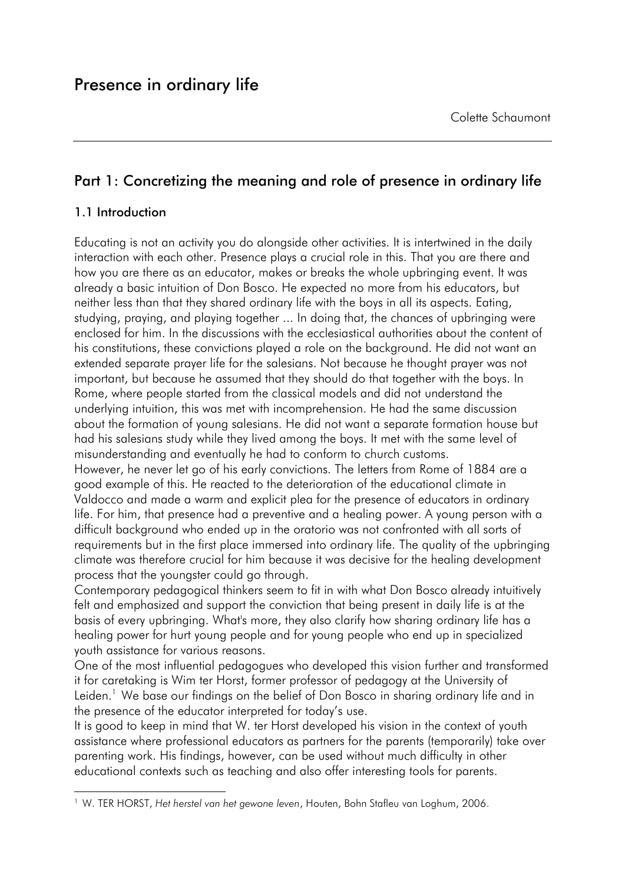# Part 1: Concretizing the meaning and role of presence in ordinary life

# 1.1 Introduction

-

Educating is not an activity you do alongside other activities. It is intertwined in the daily interaction with each other. Presence plays a crucial role in this. That you are there and how you are there as an educator, makes or breaks the whole upbringing event. It was already a basic intuition of Don Bosco. He expected no more from his educators, but neither less than that they shared ordinary life with the boys in all its aspects. Eating, studying, praying, and playing together ... In doing that, the chances of upbrinaina were enclosed for him. In the discussions with the ecclesiastical authorities about the content of his constitutions, these convictions played a role on the background. He did not want an extended separate prayer life for the salesians. Not because he thought prayer was not important, but because he assumed that they should do that together with the boys. In Rome, where people started from the classical models and did not understand the underlying intuition, this was met with incomprehension. He had the same discussion about the formation of young salesians. He did not want a separate formation house but had his salesians study while they lived among the boys. It met with the same level of misunderstanding and eventually he had to conform to church customs.

However, he never let go of his early convictions. The letters from Rome of 1884 are a good example of this. He reacted to the deterioration of the educational climate in Valdocco and made a warm and explicit plea for the presence of educators in ordinary life. For him, that presence had a preventive and a healing power. A young person with a difficult background who ended up in the oratorio was not confronted with all sorts of requirements but in the first place immersed into ordinary life. The quality of the upbringing climate was therefore crucial for him because it was decisive for the healing development process that the youngster could go through.

Contemporary pedagogical thinkers seem to fit in with what Don Bosco already intuitively felt and emphasized and support the conviction that being present in daily life is at the basis of every upbringing. What's more, they also clarify how sharing ordinary life has a healing power for hurt young people and for young people who end up in specialized youth assistance for various reasons.

One of the most influential pedagogues who developed this vision further and transformed it for caretaking is Wim ter Horst, former professor of pedagogy at the University of Leiden.<sup>1</sup> We base our findings on the belief of Don Bosco in sharing ordinary life and in the presence of the educator interpreted for today's use.

It is good to keep in mind that W. ter Horst developed his vision in the context of youth assistance where professional educators as partners for the parents (temporarily) take over parenting work. His findings, however, can be used without much difficulty in other educational contexts such as teaching and also offer interesting tools for parents.

<sup>1</sup> W. TER HORST, *Het herstel van het gewone leven*, Houten, Bohn Stafleu van Loghum, 2006.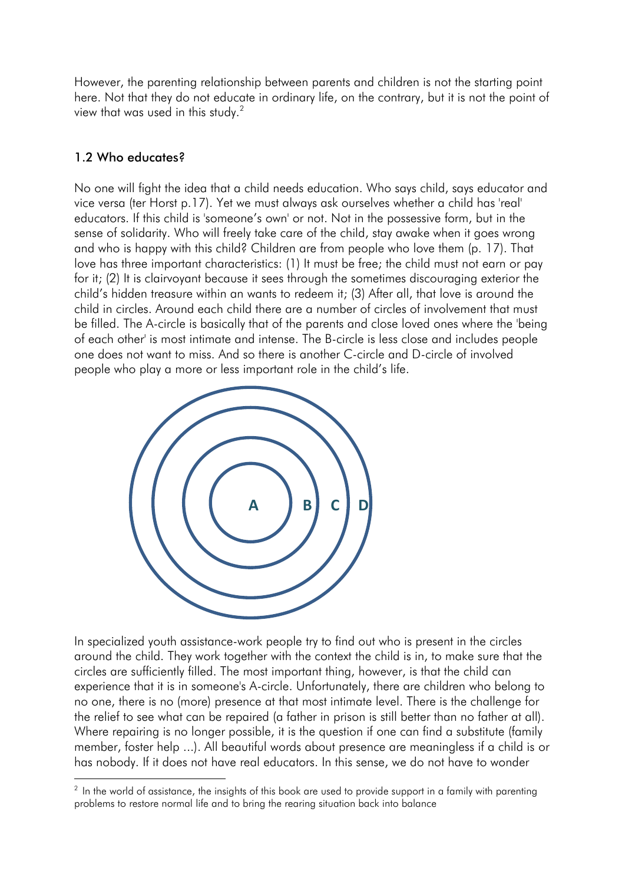However, the parenting relationship between parents and children is not the starting point here. Not that they do not educate in ordinary life, on the contrary, but it is not the point of view that was used in this study.<sup>2</sup>

# 1.2 Who educates?

No one will fight the idea that a child needs education. Who says child, says educator and vice versa (ter Horst p.17). Yet we must always ask ourselves whether a child has 'real' educators. If this child is 'someone's own' or not. Not in the possessive form, but in the sense of solidarity. Who will freely take care of the child, stay awake when it goes wrong and who is happy with this child? Children are from people who love them (p. 17). That love has three important characteristics: (1) It must be free; the child must not earn or pay for it; (2) It is clairvoyant because it sees through the sometimes discouraging exterior the child's hidden treasure within an wants to redeem it; (3) After all, that love is around the child in circles. Around each child there are a number of circles of involvement that must be filled. The A-circle is basically that of the parents and close loved ones where the 'being of each other' is most intimate and intense. The B-circle is less close and includes people one does not want to miss. And so there is another C-circle and D-circle of involved people who play a more or less important role in the child's life.



In specialized youth assistance-work people try to find out who is present in the circles around the child. They work together with the context the child is in, to make sure that the circles are sufficiently filled. The most important thing, however, is that the child can experience that it is in someone's A-circle. Unfortunately, there are children who belong to no one, there is no (more) presence at that most intimate level. There is the challenge for the relief to see what can be repaired (a father in prison is still better than no father at all). Where repairing is no longer possible, it is the question if one can find a substitute (family member, foster help ...). All beautiful words about presence are meaningless if a child is or has nobody. If it does not have real educators. In this sense, we do not have to wonder

<sup>-</sup> $^2$  In the world of assistance, the insights of this book are used to provide support in a family with parenting problems to restore normal life and to bring the rearing situation back into balance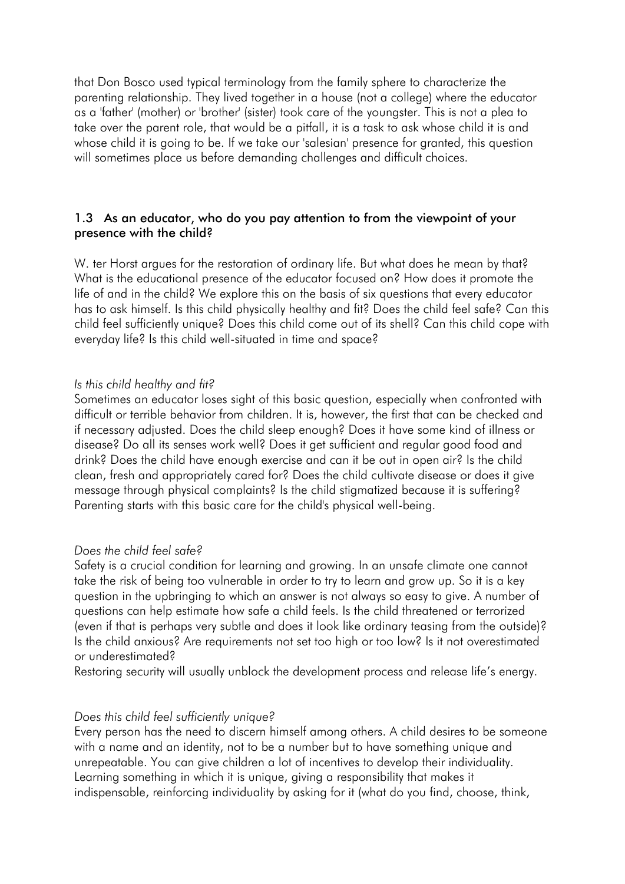that Don Bosco used typical terminology from the family sphere to characterize the parenting relationship. They lived together in a house (not a college) where the educator as a 'father' (mother) or 'brother' (sister) took care of the youngster. This is not a plea to take over the parent role, that would be a pitfall, it is a task to ask whose child it is and whose child it is going to be. If we take our 'salesian' presence for granted, this question will sometimes place us before demanding challenges and difficult choices.

## 1.3 As an educator, who do you pay attention to from the viewpoint of your presence with the child?

W. ter Horst argues for the restoration of ordinary life. But what does he mean by that? What is the educational presence of the educator focused on? How does it promote the life of and in the child? We explore this on the basis of six questions that every educator has to ask himself. Is this child physically healthy and fit? Does the child feel safe? Can this child feel sufficiently unique? Does this child come out of its shell? Can this child cope with everyday life? Is this child well-situated in time and space?

### *Is this child healthy and fit?*

Sometimes an educator loses sight of this basic question, especially when confronted with difficult or terrible behavior from children. It is, however, the first that can be checked and if necessary adjusted. Does the child sleep enough? Does it have some kind of illness or disease? Do all its senses work well? Does it get sufficient and regular good food and drink? Does the child have enough exercise and can it be out in open air? Is the child clean, fresh and appropriately cared for? Does the child cultivate disease or does it give message through physical complaints? Is the child stigmatized because it is suffering? Parenting starts with this basic care for the child's physical well-being.

#### *Does the child feel safe?*

Safety is a crucial condition for learning and growing. In an unsafe climate one cannot take the risk of being too vulnerable in order to try to learn and grow up. So it is a key question in the upbringing to which an answer is not always so easy to give. A number of questions can help estimate how safe a child feels. Is the child threatened or terrorized (even if that is perhaps very subtle and does it look like ordinary teasing from the outside)? Is the child anxious? Are requirements not set too high or too low? Is it not overestimated or underestimated?

Restoring security will usually unblock the development process and release life's energy.

### *Does this child feel sufficiently unique?*

Every person has the need to discern himself among others. A child desires to be someone with a name and an identity, not to be a number but to have something unique and unrepeatable. You can give children a lot of incentives to develop their individuality. Learning something in which it is unique, giving a responsibility that makes it indispensable, reinforcing individuality by asking for it (what do you find, choose, think,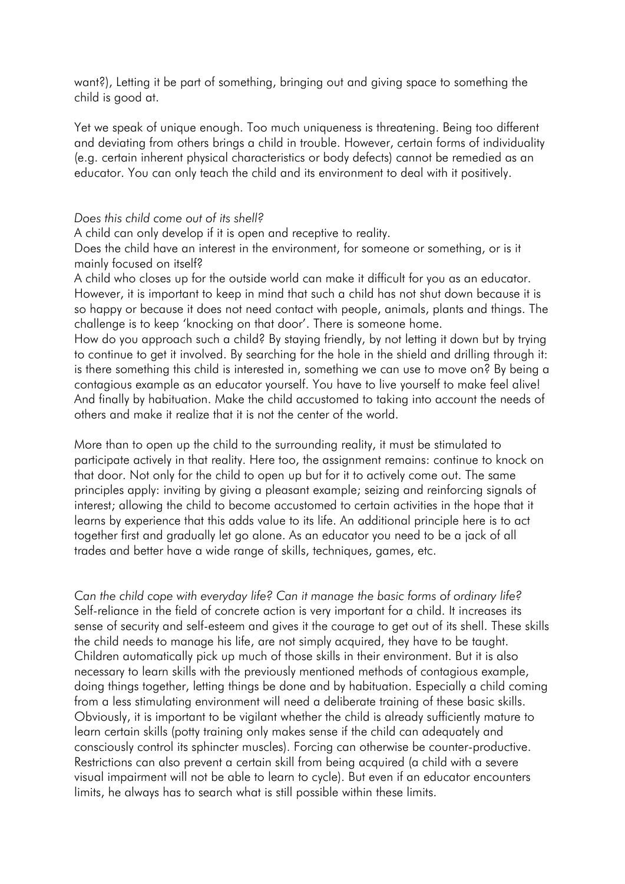want?), Letting it be part of something, bringing out and giving space to something the child is good at.

Yet we speak of unique enough. Too much uniqueness is threatening. Being too different and deviating from others brings a child in trouble. However, certain forms of individuality (e.g. certain inherent physical characteristics or body defects) cannot be remedied as an educator. You can only teach the child and its environment to deal with it positively.

#### *Does this child come out of its shell?*

A child can only develop if it is open and receptive to reality.

Does the child have an interest in the environment, for someone or something, or is it mainly focused on itself?

A child who closes up for the outside world can make it difficult for you as an educator. However, it is important to keep in mind that such a child has not shut down because it is so happy or because it does not need contact with people, animals, plants and things. The challenge is to keep 'knocking on that door'. There is someone home.

How do you approach such a child? By staying friendly, by not letting it down but by trying to continue to get it involved. By searching for the hole in the shield and drilling through it: is there something this child is interested in, something we can use to move on? By being a contagious example as an educator yourself. You have to live yourself to make feel alive! And finally by habituation. Make the child accustomed to taking into account the needs of others and make it realize that it is not the center of the world.

More than to open up the child to the surrounding reality, it must be stimulated to participate actively in that reality. Here too, the assignment remains: continue to knock on that door. Not only for the child to open up but for it to actively come out. The same principles apply: inviting by giving a pleasant example; seizing and reinforcing signals of interest; allowing the child to become accustomed to certain activities in the hope that it learns by experience that this adds value to its life. An additional principle here is to act together first and gradually let go alone. As an educator you need to be a jack of all trades and better have a wide range of skills, techniques, games, etc.

C*an the child cope with everyday life? Can it manage the basic forms of ordinary life?* Self-reliance in the field of concrete action is very important for a child. It increases its sense of security and self-esteem and gives it the courage to get out of its shell. These skills the child needs to manage his life, are not simply acquired, they have to be taught. Children automatically pick up much of those skills in their environment. But it is also necessary to learn skills with the previously mentioned methods of contagious example, doing things together, letting things be done and by habituation. Especially a child coming from a less stimulating environment will need a deliberate training of these basic skills. Obviously, it is important to be vigilant whether the child is already sufficiently mature to learn certain skills (potty training only makes sense if the child can adequately and consciously control its sphincter muscles). Forcing can otherwise be counter-productive. Restrictions can also prevent a certain skill from being acquired (a child with a severe visual impairment will not be able to learn to cycle). But even if an educator encounters limits, he always has to search what is still possible within these limits.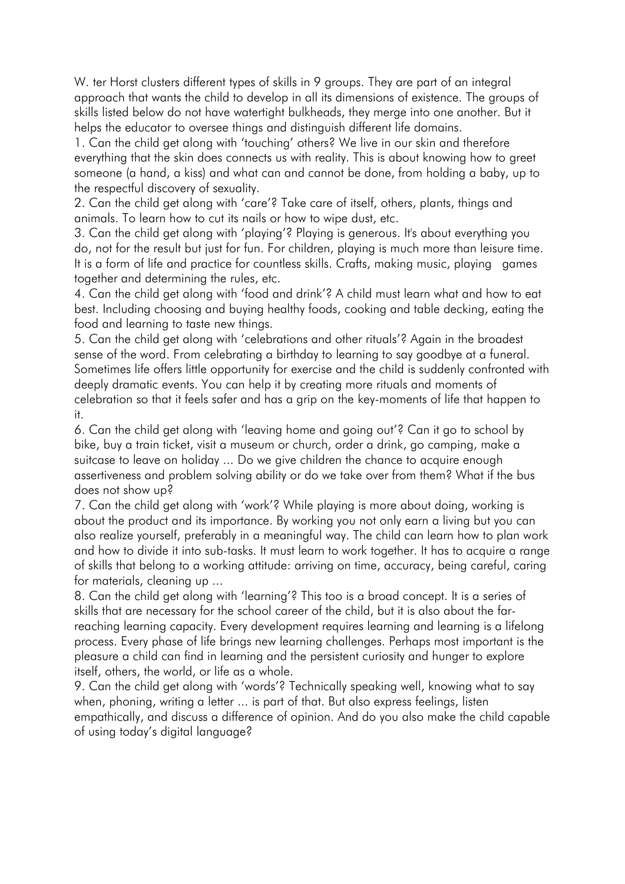W. ter Horst clusters different types of skills in 9 groups. They are part of an integral approach that wants the child to develop in all its dimensions of existence. The groups of skills listed below do not have watertight bulkheads, they merge into one another. But it helps the educator to oversee things and distinguish different life domains.

1. Can the child get along with 'touching' others? We live in our skin and therefore everything that the skin does connects us with reality. This is about knowing how to greet someone (a hand, a kiss) and what can and cannot be done, from holding a baby, up to the respectful discovery of sexuality.

2. Can the child get along with 'care'? Take care of itself, others, plants, things and animals. To learn how to cut its nails or how to wipe dust, etc.

3. Can the child get along with 'playing'? Playing is generous. It's about everything you do, not for the result but just for fun. For children, playing is much more than leisure time. It is a form of life and practice for countless skills. Crafts, making music, playing games together and determining the rules, etc.

4. Can the child get along with 'food and drink'? A child must learn what and how to eat best. Including choosing and buying healthy foods, cooking and table decking, eating the food and learning to taste new things.

5. Can the child get along with 'celebrations and other rituals'? Again in the broadest sense of the word. From celebrating a birthday to learning to say goodbye at a funeral. Sometimes life offers little opportunity for exercise and the child is suddenly confronted with deeply dramatic events. You can help it by creating more rituals and moments of celebration so that it feels safer and has a grip on the key-moments of life that happen to it.

6. Can the child get along with 'leaving home and going out'? Can it go to school by bike, buy a train ticket, visit a museum or church, order a drink, go camping, make a suitcase to leave on holiday ... Do we give children the chance to acquire enough assertiveness and problem solving ability or do we take over from them? What if the bus does not show up?

7. Can the child get along with 'work'? While playing is more about doing, working is about the product and its importance. By working you not only earn a living but you can also realize yourself, preferably in a meaningful way. The child can learn how to plan work and how to divide it into sub-tasks. It must learn to work together. It has to acquire a range of skills that belong to a working attitude: arriving on time, accuracy, being careful, caring for materials, cleaning up ...

8. Can the child get along with 'learning'? This too is a broad concept. It is a series of skills that are necessary for the school career of the child, but it is also about the farreaching learning capacity. Every development requires learning and learning is a lifelong process. Every phase of life brings new learning challenges. Perhaps most important is the pleasure a child can find in learning and the persistent curiosity and hunger to explore itself, others, the world, or life as a whole.

9. Can the child get along with 'words'? Technically speaking well, knowing what to say when, phoning, writing a letter ... is part of that. But also express feelings, listen empathically, and discuss a difference of opinion. And do you also make the child capable of using today's digital language?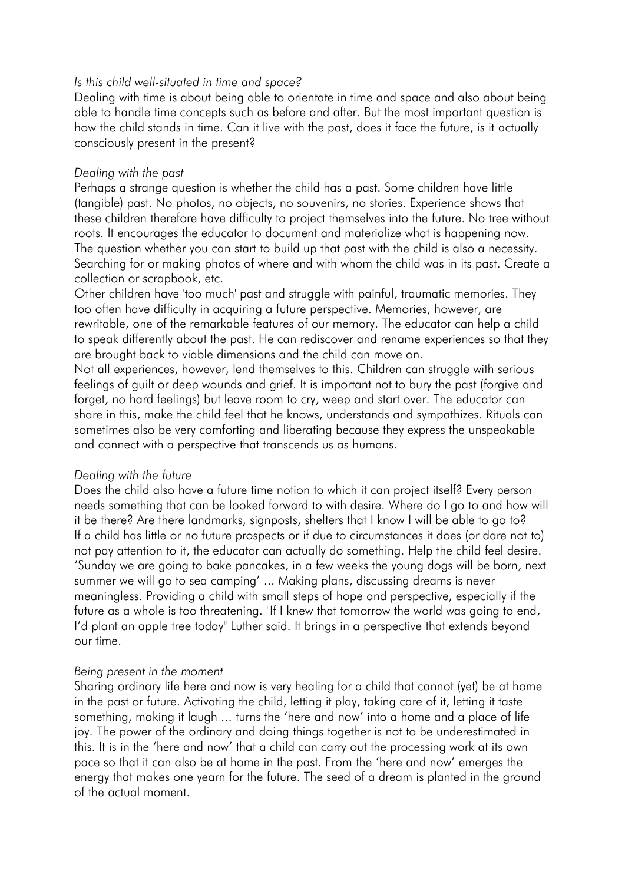### *Is this child well-situated in time and space?*

Dealing with time is about being able to orientate in time and space and also about being able to handle time concepts such as before and after. But the most important question is how the child stands in time. Can it live with the past, does it face the future, is it actually consciously present in the present?

#### *Dealing with the past*

Perhaps a strange question is whether the child has a past. Some children have little (tangible) past. No photos, no objects, no souvenirs, no stories. Experience shows that these children therefore have difficulty to project themselves into the future. No tree without roots. It encourages the educator to document and materialize what is happening now. The question whether you can start to build up that past with the child is also a necessity. Searching for or making photos of where and with whom the child was in its past. Create a collection or scrapbook, etc.

Other children have 'too much' past and struggle with painful, traumatic memories. They too often have difficulty in acquiring a future perspective. Memories, however, are rewritable, one of the remarkable features of our memory. The educator can help a child to speak differently about the past. He can rediscover and rename experiences so that they are brought back to viable dimensions and the child can move on.

Not all experiences, however, lend themselves to this. Children can struggle with serious feelings of guilt or deep wounds and grief. It is important not to bury the past (forgive and forget, no hard feelings) but leave room to cry, weep and start over. The educator can share in this, make the child feel that he knows, understands and sympathizes. Rituals can sometimes also be very comforting and liberating because they express the unspeakable and connect with a perspective that transcends us as humans.

### *Dealing with the future*

Does the child also have a future time notion to which it can project itself? Every person needs something that can be looked forward to with desire. Where do I go to and how will it be there? Are there landmarks, signposts, shelters that I know I will be able to go to? If a child has little or no future prospects or if due to circumstances it does (or dare not to) not pay attention to it, the educator can actually do something. Help the child feel desire. 'Sunday we are going to bake pancakes, in a few weeks the young dogs will be born, next summer we will go to sea camping' ... Making plans, discussing dreams is never meaningless. Providing a child with small steps of hope and perspective, especially if the future as a whole is too threatening. "If I knew that tomorrow the world was going to end, I'd plant an apple tree today" Luther said. It brings in a perspective that extends beyond our time.

### *Being present in the moment*

Sharing ordinary life here and now is very healing for a child that cannot (yet) be at home in the past or future. Activating the child, letting it play, taking care of it, letting it taste something, making it laugh ... turns the 'here and now' into a home and a place of life joy. The power of the ordinary and doing things together is not to be underestimated in this. It is in the 'here and now' that a child can carry out the processing work at its own pace so that it can also be at home in the past. From the 'here and now' emerges the energy that makes one yearn for the future. The seed of a dream is planted in the ground of the actual moment.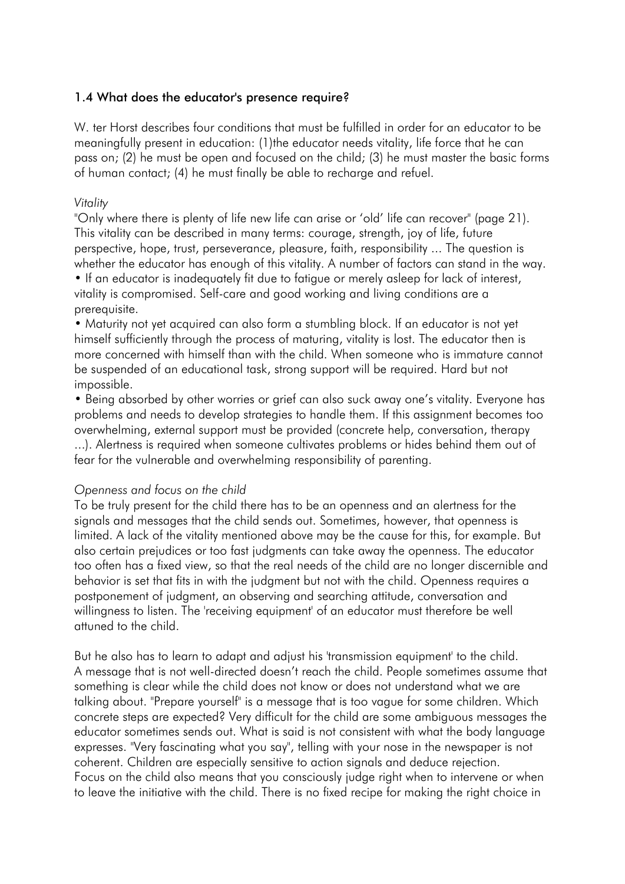### 1.4 What does the educator's presence require?

W. ter Horst describes four conditions that must be fulfilled in order for an educator to be meaningfully present in education: (1)the educator needs vitality, life force that he can pass on; (2) he must be open and focused on the child; (3) he must master the basic forms of human contact; (4) he must finally be able to recharge and refuel.

### *Vitality*

"Only where there is plenty of life new life can arise or 'old' life can recover" (page 21). This vitality can be described in many terms: courage, strength, joy of life, future perspective, hope, trust, perseverance, pleasure, faith, responsibility ... The question is whether the educator has enough of this vitality. A number of factors can stand in the way. • If an educator is inadequately fit due to fatigue or merely asleep for lack of interest,

vitality is compromised. Self-care and good working and living conditions are a prerequisite.

• Maturity not yet acquired can also form a stumbling block. If an educator is not yet himself sufficiently through the process of maturing, vitality is lost. The educator then is more concerned with himself than with the child. When someone who is immature cannot be suspended of an educational task, strong support will be required. Hard but not impossible.

• Being absorbed by other worries or grief can also suck away one's vitality. Everyone has problems and needs to develop strategies to handle them. If this assignment becomes too overwhelming, external support must be provided (concrete help, conversation, therapy ...). Alertness is required when someone cultivates problems or hides behind them out of fear for the vulnerable and overwhelming responsibility of parenting.

### *Openness and focus on the child*

To be truly present for the child there has to be an openness and an alertness for the signals and messages that the child sends out. Sometimes, however, that openness is limited. A lack of the vitality mentioned above may be the cause for this, for example. But also certain prejudices or too fast judgments can take away the openness. The educator too often has a fixed view, so that the real needs of the child are no longer discernible and behavior is set that fits in with the judgment but not with the child. Openness requires a postponement of judgment, an observing and searching attitude, conversation and willingness to listen. The 'receiving equipment' of an educator must therefore be well attuned to the child.

But he also has to learn to adapt and adjust his 'transmission equipment' to the child. A message that is not well-directed doesn't reach the child. People sometimes assume that something is clear while the child does not know or does not understand what we are talking about. "Prepare yourself" is a message that is too vague for some children. Which concrete steps are expected? Very difficult for the child are some ambiguous messages the educator sometimes sends out. What is said is not consistent with what the body language expresses. "Very fascinating what you say", telling with your nose in the newspaper is not coherent. Children are especially sensitive to action signals and deduce rejection. Focus on the child also means that you consciously judge right when to intervene or when to leave the initiative with the child. There is no fixed recipe for making the right choice in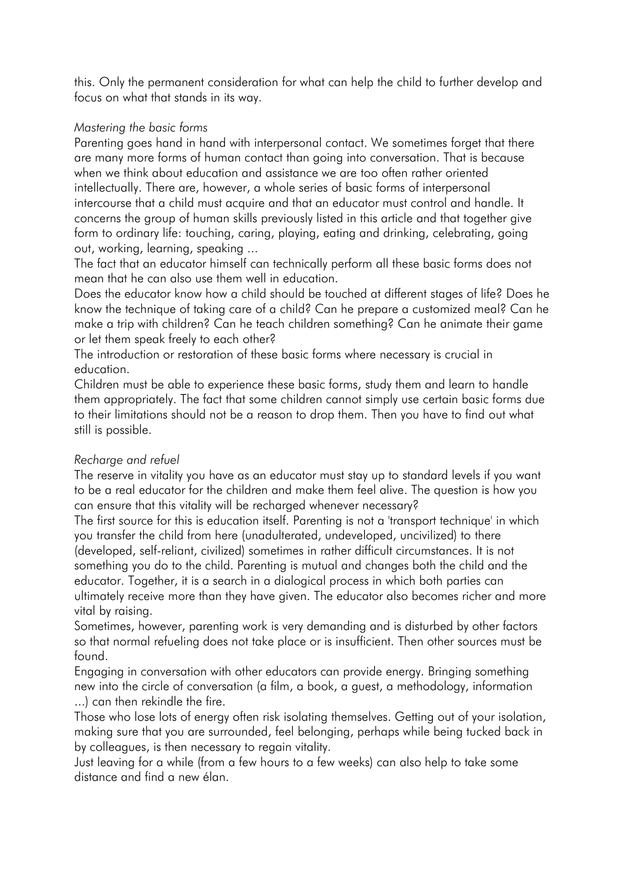this. Only the permanent consideration for what can help the child to further develop and focus on what that stands in its way.

# *Mastering the basic forms*

Parenting goes hand in hand with interpersonal contact. We sometimes forget that there are many more forms of human contact than going into conversation. That is because when we think about education and assistance we are too often rather oriented intellectually. There are, however, a whole series of basic forms of interpersonal intercourse that a child must acquire and that an educator must control and handle. It concerns the group of human skills previously listed in this article and that together give form to ordinary life: touching, caring, playing, eating and drinking, celebrating, going out, working, learning, speaking ...

The fact that an educator himself can technically perform all these basic forms does not mean that he can also use them well in education.

Does the educator know how a child should be touched at different stages of life? Does he know the technique of taking care of a child? Can he prepare a customized meal? Can he make a trip with children? Can he teach children something? Can he animate their game or let them speak freely to each other?

The introduction or restoration of these basic forms where necessary is crucial in education.

Children must be able to experience these basic forms, study them and learn to handle them appropriately. The fact that some children cannot simply use certain basic forms due to their limitations should not be a reason to drop them. Then you have to find out what still is possible.

# *Recharge and refuel*

The reserve in vitality you have as an educator must stay up to standard levels if you want to be a real educator for the children and make them feel alive. The question is how you can ensure that this vitality will be recharged whenever necessary?

The first source for this is education itself. Parenting is not a 'transport technique' in which you transfer the child from here (unadulterated, undeveloped, uncivilized) to there (developed, self-reliant, civilized) sometimes in rather difficult circumstances. It is not something you do to the child. Parenting is mutual and changes both the child and the educator. Together, it is a search in a dialogical process in which both parties can ultimately receive more than they have given. The educator also becomes richer and more vital by raising.

Sometimes, however, parenting work is very demanding and is disturbed by other factors so that normal refueling does not take place or is insufficient. Then other sources must be found.

Engaging in conversation with other educators can provide energy. Bringing something new into the circle of conversation (a film, a book, a guest, a methodology, information ...) can then rekindle the fire.

Those who lose lots of energy often risk isolating themselves. Getting out of your isolation, making sure that you are surrounded, feel belonging, perhaps while being tucked back in by colleagues, is then necessary to regain vitality.

Just leaving for a while (from a few hours to a few weeks) can also help to take some distance and find a new élan.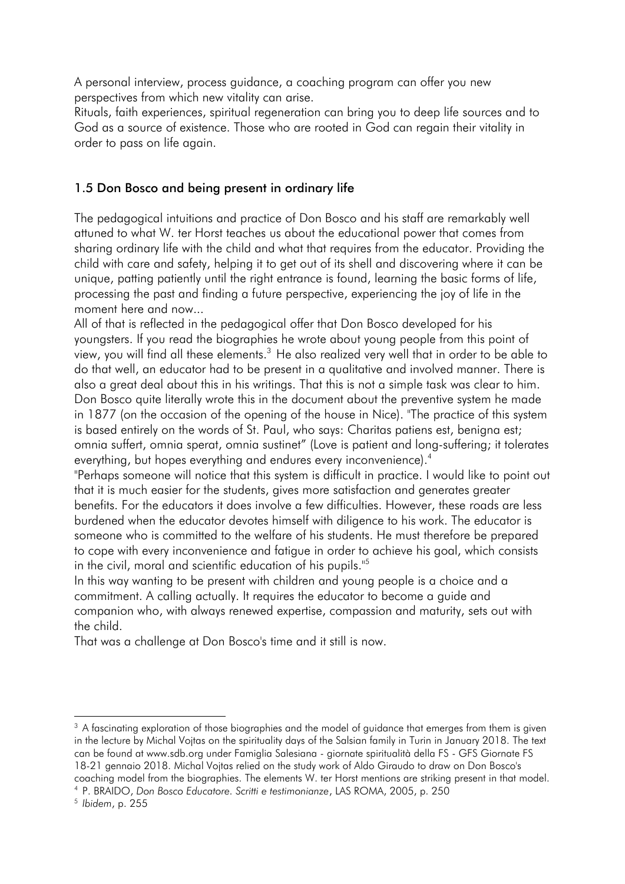A personal interview, process guidance, a coaching program can offer you new perspectives from which new vitality can arise.

Rituals, faith experiences, spiritual regeneration can bring you to deep life sources and to God as a source of existence. Those who are rooted in God can regain their vitality in order to pass on life again.

# 1.5 Don Bosco and being present in ordinary life

The pedagogical intuitions and practice of Don Bosco and his staff are remarkably well attuned to what W. ter Horst teaches us about the educational power that comes from sharing ordinary life with the child and what that requires from the educator. Providing the child with care and safety, helping it to get out of its shell and discovering where it can be unique, patting patiently until the right entrance is found, learning the basic forms of life, processing the past and finding a future perspective, experiencing the joy of life in the moment here and now...

All of that is reflected in the pedagogical offer that Don Bosco developed for his youngsters. If you read the biographies he wrote about young people from this point of view, you will find all these elements.<sup>3</sup> He also realized very well that in order to be able to do that well, an educator had to be present in a qualitative and involved manner. There is also a great deal about this in his writings. That this is not a simple task was clear to him. Don Bosco quite literally wrote this in the document about the preventive system he made in 1877 (on the occasion of the opening of the house in Nice). "The practice of this system is based entirely on the words of St. Paul, who says: Charitas patiens est, benigna est; omnia suffert, omnia sperat, omnia sustinet" (Love is patient and long-suffering; it tolerates everything, but hopes everything and endures every inconvenience).<sup>4</sup>

"Perhaps someone will notice that this system is difficult in practice. I would like to point out that it is much easier for the students, gives more satisfaction and generates greater benefits. For the educators it does involve a few difficulties. However, these roads are less burdened when the educator devotes himself with diligence to his work. The educator is someone who is committed to the welfare of his students. He must therefore be prepared to cope with every inconvenience and fatigue in order to achieve his goal, which consists in the civil, moral and scientific education of his pupils."<sup>5</sup>

In this way wanting to be present with children and young people is a choice and a commitment. A calling actually. It requires the educator to become a guide and companion who, with always renewed expertise, compassion and maturity, sets out with the child.

That was a challenge at Don Bosco's time and it still is now.

-

<sup>&</sup>lt;sup>3</sup> A fascinating exploration of those biographies and the model of quidance that emerges from them is given in the lecture by Michal Vojtas on the spirituality days of the Salsian family in Turin in January 2018. The text can be found at www.sdb.org under Famiglia Salesiana - giornate spiritualità della FS - GFS Giornate FS 18-21 gennaio 2018. Michal Vojtas relied on the study work of Aldo Giraudo to draw on Don Bosco's coaching model from the biographies. The elements W. ter Horst mentions are striking present in that model.

<sup>4</sup> P. BRAIDO, *Don Bosco Educatore. Scritti e testimonianze*, LAS ROMA, 2005, p. 250

<sup>5</sup> *Ibidem*, p. 255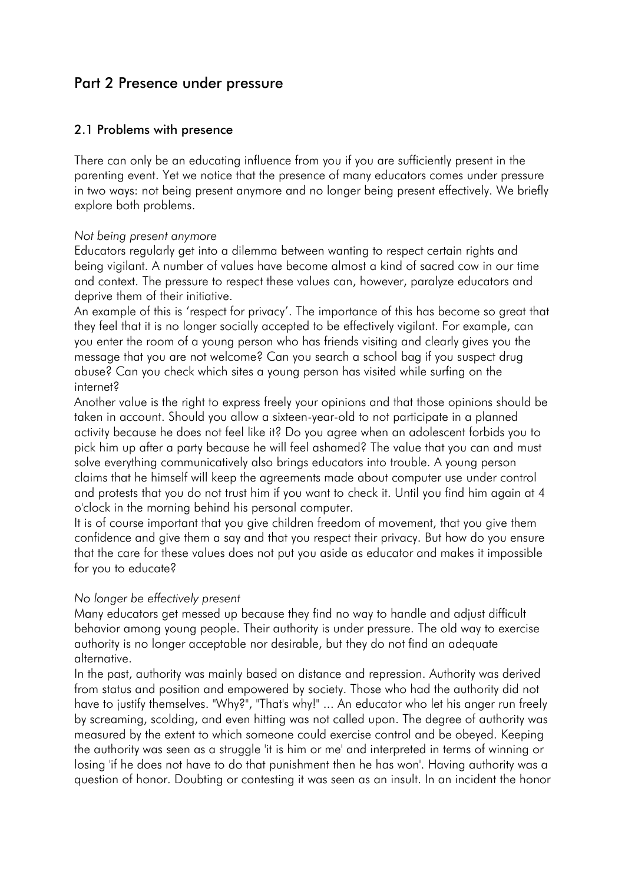# Part 2 Presence under pressure

# 2.1 Problems with presence

There can only be an educating influence from you if you are sufficiently present in the parenting event. Yet we notice that the presence of many educators comes under pressure in two ways: not being present anymore and no longer being present effectively. We briefly explore both problems.

### *Not being present anymore*

Educators regularly get into a dilemma between wanting to respect certain rights and being vigilant. A number of values have become almost a kind of sacred cow in our time and context. The pressure to respect these values can, however, paralyze educators and deprive them of their initiative.

An example of this is 'respect for privacy'. The importance of this has become so great that they feel that it is no longer socially accepted to be effectively vigilant. For example, can you enter the room of a young person who has friends visiting and clearly gives you the message that you are not welcome? Can you search a school bag if you suspect drug abuse? Can you check which sites a young person has visited while surfing on the internet?

Another value is the right to express freely your opinions and that those opinions should be taken in account. Should you allow a sixteen-year-old to not participate in a planned activity because he does not feel like it? Do you agree when an adolescent forbids you to pick him up after a party because he will feel ashamed? The value that you can and must solve everything communicatively also brings educators into trouble. A young person claims that he himself will keep the agreements made about computer use under control and protests that you do not trust him if you want to check it. Until you find him again at 4 o'clock in the morning behind his personal computer.

It is of course important that you give children freedom of movement, that you give them confidence and give them a say and that you respect their privacy. But how do you ensure that the care for these values does not put you aside as educator and makes it impossible for you to educate?

### *No longer be effectively present*

Many educators get messed up because they find no way to handle and adjust difficult behavior among young people. Their authority is under pressure. The old way to exercise authority is no longer acceptable nor desirable, but they do not find an adequate alternative.

In the past, authority was mainly based on distance and repression. Authority was derived from status and position and empowered by society. Those who had the authority did not have to justify themselves. "Why?", "That's why!" ... An educator who let his anger run freely by screaming, scolding, and even hitting was not called upon. The degree of authority was measured by the extent to which someone could exercise control and be obeyed. Keeping the authority was seen as a struggle 'it is him or me' and interpreted in terms of winning or losing 'if he does not have to do that punishment then he has won'. Having authority was a question of honor. Doubting or contesting it was seen as an insult. In an incident the honor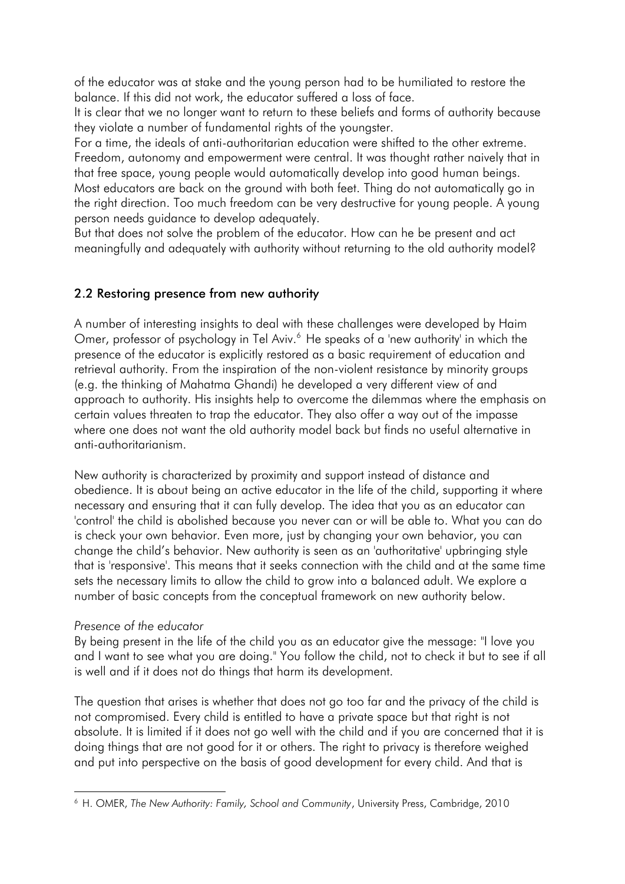of the educator was at stake and the young person had to be humiliated to restore the balance. If this did not work, the educator suffered a loss of face.

It is clear that we no longer want to return to these beliefs and forms of authority because they violate a number of fundamental rights of the youngster.

For a time, the ideals of anti-authoritarian education were shifted to the other extreme. Freedom, autonomy and empowerment were central. It was thought rather naively that in that free space, young people would automatically develop into good human beings. Most educators are back on the ground with both feet. Thing do not automatically go in the right direction. Too much freedom can be very destructive for young people. A young person needs guidance to develop adequately.

But that does not solve the problem of the educator. How can he be present and act meaningfully and adequately with authority without returning to the old authority model?

# 2.2 Restoring presence from new authority

A number of interesting insights to deal with these challenges were developed by Haim Omer, professor of psychology in Tel Aviv.<sup>6</sup> He speaks of a 'new authority' in which the presence of the educator is explicitly restored as a basic requirement of education and retrieval authority. From the inspiration of the non-violent resistance by minority groups (e.g. the thinking of Mahatma Ghandi) he developed a very different view of and approach to authority. His insights help to overcome the dilemmas where the emphasis on certain values threaten to trap the educator. They also offer a way out of the impasse where one does not want the old authority model back but finds no useful alternative in anti-authoritarianism.

New authority is characterized by proximity and support instead of distance and obedience. It is about being an active educator in the life of the child, supporting it where necessary and ensuring that it can fully develop. The idea that you as an educator can 'control' the child is abolished because you never can or will be able to. What you can do is check your own behavior. Even more, just by changing your own behavior, you can change the child's behavior. New authority is seen as an 'authoritative' upbringing style that is 'responsive'. This means that it seeks connection with the child and at the same time sets the necessary limits to allow the child to grow into a balanced adult. We explore a number of basic concepts from the conceptual framework on new authority below.

# *Presence of the educator*

By being present in the life of the child you as an educator give the message: "I love you and I want to see what you are doing." You follow the child, not to check it but to see if all is well and if it does not do things that harm its development.

The question that arises is whether that does not go too far and the privacy of the child is not compromised. Every child is entitled to have a private space but that right is not absolute. It is limited if it does not go well with the child and if you are concerned that it is doing things that are not good for it or others. The right to privacy is therefore weighed and put into perspective on the basis of good development for every child. And that is

<sup>-</sup><sup>6</sup> H. OMER, *The New Authority: Family, School and Community*, University Press, Cambridge, 2010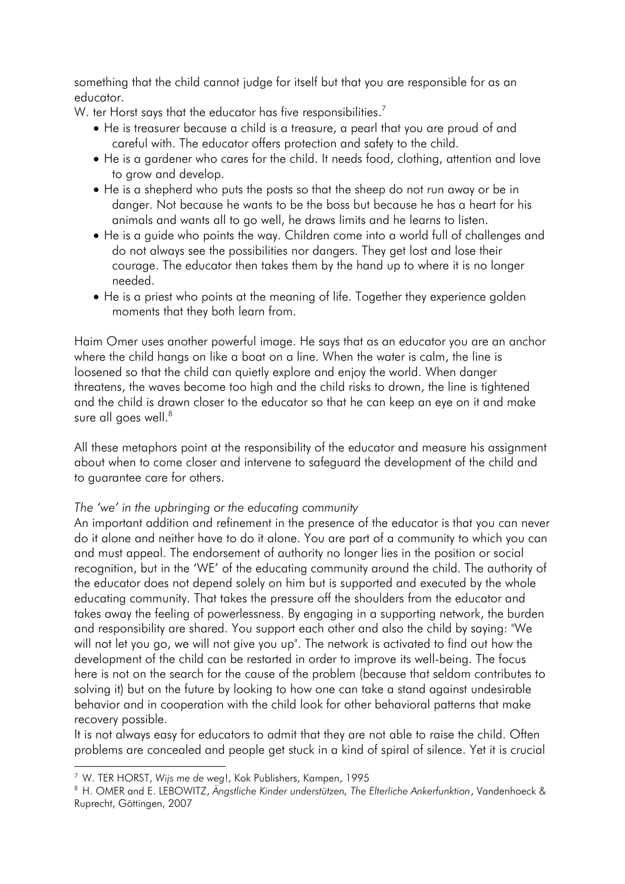something that the child cannot judge for itself but that you are responsible for as an educator.

W. ter Horst says that the educator has five responsibilities. $^7$ 

- He is treasurer because a child is a treasure, a pearl that you are proud of and careful with. The educator offers protection and safety to the child.
- He is a gardener who cares for the child. It needs food, clothing, attention and love to grow and develop.
- He is a shepherd who puts the posts so that the sheep do not run away or be in danger. Not because he wants to be the boss but because he has a heart for his animals and wants all to go well, he draws limits and he learns to listen.
- He is a guide who points the way. Children come into a world full of challenges and do not always see the possibilities nor dangers. They get lost and lose their courage. The educator then takes them by the hand up to where it is no longer needed.
- He is a priest who points at the meaning of life. Together they experience golden moments that they both learn from.

Haim Omer uses another powerful image. He says that as an educator you are an anchor where the child hangs on like a boat on a line. When the water is calm, the line is loosened so that the child can quietly explore and enjoy the world. When danger threatens, the waves become too high and the child risks to drown, the line is tightened and the child is drawn closer to the educator so that he can keep an eye on it and make sure all goes well.<sup>8</sup>

All these metaphors point at the responsibility of the educator and measure his assignment about when to come closer and intervene to safeguard the development of the child and to guarantee care for others.

### *The 'we' in the upbringing or the educating community*

An important addition and refinement in the presence of the educator is that you can never do it alone and neither have to do it alone. You are part of a community to which you can and must appeal. The endorsement of authority no longer lies in the position or social recognition, but in the 'WE' of the educating community around the child. The authority of the educator does not depend solely on him but is supported and executed by the whole educating community. That takes the pressure off the shoulders from the educator and takes away the feeling of powerlessness. By engaging in a supporting network, the burden and responsibility are shared. You support each other and also the child by saying: "We will not let you go, we will not give you up". The network is activated to find out how the development of the child can be restarted in order to improve its well-being. The focus here is not on the search for the cause of the problem (because that seldom contributes to solving it) but on the future by looking to how one can take a stand against undesirable behavior and in cooperation with the child look for other behavioral patterns that make recovery possible.

It is not always easy for educators to admit that they are not able to raise the child. Often problems are concealed and people get stuck in a kind of spiral of silence. Yet it is crucial

-

<sup>7</sup> W. TER HORST, *Wijs me de weg*!, Kok Publishers, Kampen, 1995

<sup>8</sup> H. OMER and E. LEBOWITZ, *Ängstliche Kinder understützen, The Elterliche Ankerfunktion*, Vandenhoeck & Ruprecht, Göttingen, 2007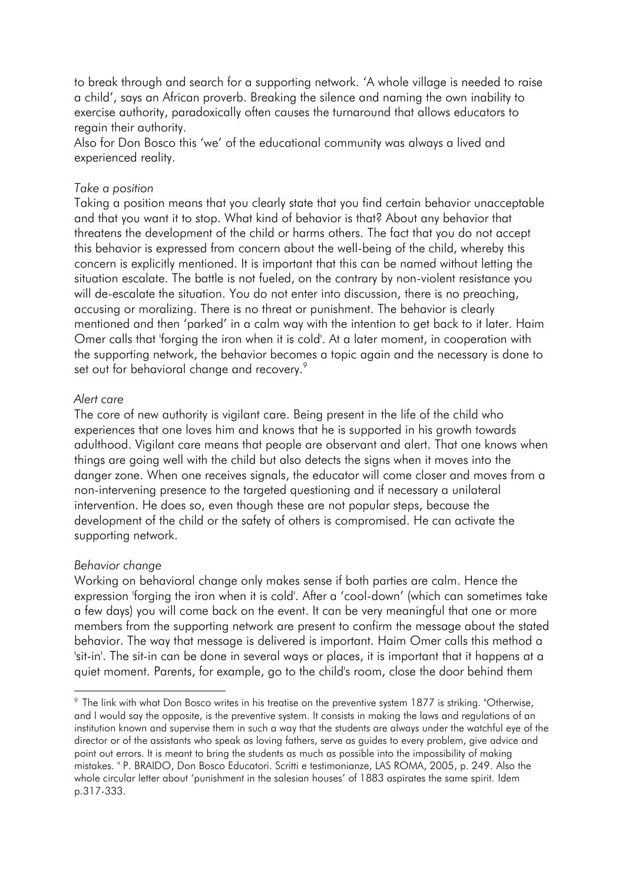to break through and search for a supporting network. 'A whole village is needed to raise a child', says an African proverb. Breaking the silence and naming the own inability to exercise authority, paradoxically often causes the turnaround that allows educators to regain their authority.

Also for Don Bosco this 'we' of the educational community was always a lived and experienced reality.

### *Take a position*

Taking a position means that you clearly state that you find certain behavior unacceptable and that you want it to stop. What kind of behavior is that? About any behavior that threatens the development of the child or harms others. The fact that you do not accept this behavior is expressed from concern about the well-being of the child, whereby this concern is explicitly mentioned. It is important that this can be named without letting the situation escalate. The battle is not fueled, on the contrary by non-violent resistance you will de-escalate the situation. You do not enter into discussion, there is no preaching, accusing or moralizing. There is no threat or punishment. The behavior is clearly mentioned and then 'parked' in a calm way with the intention to get back to it later. Haim Omer calls that 'forging the iron when it is cold'. At a later moment, in cooperation with the supporting network, the behavior becomes a topic again and the necessary is done to set out for behavioral change and recovery.<sup>9</sup>

#### *Alert care*

The core of new authority is vigilant care. Being present in the life of the child who experiences that one loves him and knows that he is supported in his growth towards adulthood. Vigilant care means that people are observant and alert. That one knows when things are going well with the child but also detects the signs when it moves into the danger zone. When one receives signals, the educator will come closer and moves from a non-intervening presence to the targeted questioning and if necessary a unilateral intervention. He does so, even though these are not popular steps, because the development of the child or the safety of others is compromised. He can activate the supporting network.

#### *Behavior change*

-

Working on behavioral change only makes sense if both parties are calm. Hence the expression 'forging the iron when it is cold'. After a 'cool-down' (which can sometimes take a few days) you will come back on the event. It can be very meaningful that one or more members from the supporting network are present to confirm the message about the stated behavior. The way that message is delivered is important. Haim Omer calls this method a 'sit-in'. The sit-in can be done in several ways or places, it is important that it happens at a quiet moment. Parents, for example, go to the child's room, close the door behind them

<sup>9</sup> The link with what Don Bosco writes in his treatise on the preventive system 1877 is striking. "Otherwise, and I would say the opposite, is the preventive system. It consists in making the laws and regulations of an institution known and supervise them in such a way that the students are always under the watchful eye of the director or of the assistants who speak as loving fathers, serve as guides to every problem, give advice and point out errors. It is meant to bring the students as much as possible into the impossibility of making mistakes. " P. BRAIDO, Don Bosco Educatori. Scritti e testimonianze, LAS ROMA, 2005, p. 249. Also the whole circular letter about 'punishment in the salesian houses' of 1883 aspirates the same spirit. Idem p.317-333.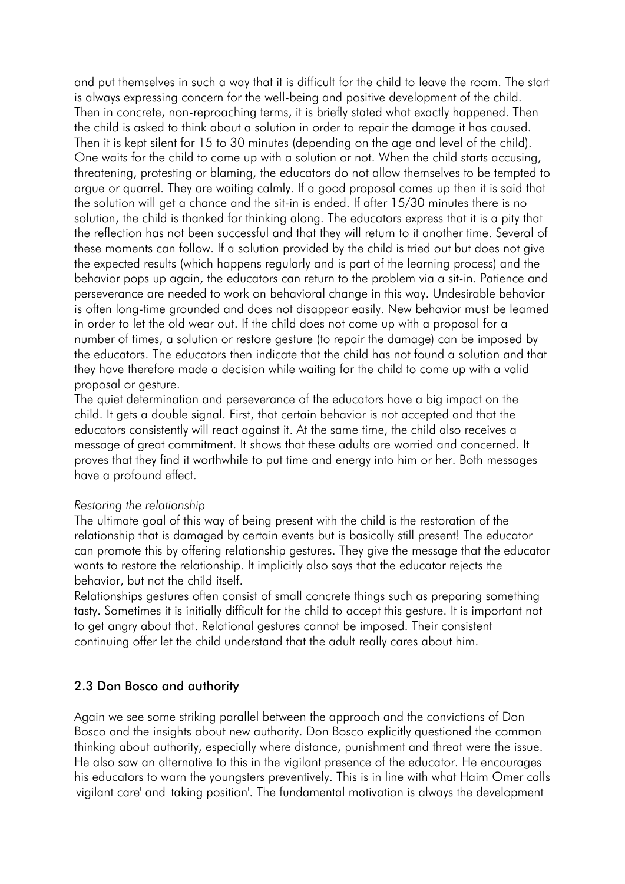and put themselves in such a way that it is difficult for the child to leave the room. The start is always expressing concern for the well-being and positive development of the child. Then in concrete, non-reproaching terms, it is briefly stated what exactly happened. Then the child is asked to think about a solution in order to repair the damage it has caused. Then it is kept silent for 15 to 30 minutes (depending on the age and level of the child). One waits for the child to come up with a solution or not. When the child starts accusing, threatening, protesting or blaming, the educators do not allow themselves to be tempted to argue or quarrel. They are waiting calmly. If a good proposal comes up then it is said that the solution will get a chance and the sit-in is ended. If after 15/30 minutes there is no solution, the child is thanked for thinking along. The educators express that it is a pity that the reflection has not been successful and that they will return to it another time. Several of these moments can follow. If a solution provided by the child is tried out but does not give the expected results (which happens regularly and is part of the learning process) and the behavior pops up again, the educators can return to the problem via a sit-in. Patience and perseverance are needed to work on behavioral change in this way. Undesirable behavior is often long-time grounded and does not disappear easily. New behavior must be learned in order to let the old wear out. If the child does not come up with a proposal for a number of times, a solution or restore gesture (to repair the damage) can be imposed by the educators. The educators then indicate that the child has not found a solution and that they have therefore made a decision while waiting for the child to come up with a valid proposal or gesture.

The quiet determination and perseverance of the educators have a big impact on the child. It gets a double signal. First, that certain behavior is not accepted and that the educators consistently will react against it. At the same time, the child also receives a message of great commitment. It shows that these adults are worried and concerned. It proves that they find it worthwhile to put time and energy into him or her. Both messages have a profound effect.

#### *Restoring the relationship*

The ultimate goal of this way of being present with the child is the restoration of the relationship that is damaged by certain events but is basically still present! The educator can promote this by offering relationship gestures. They give the message that the educator wants to restore the relationship. It implicitly also says that the educator rejects the behavior, but not the child itself.

Relationships gestures often consist of small concrete things such as preparing something tasty. Sometimes it is initially difficult for the child to accept this gesture. It is important not to get angry about that. Relational gestures cannot be imposed. Their consistent continuing offer let the child understand that the adult really cares about him.

### 2.3 Don Bosco and authority

Again we see some striking parallel between the approach and the convictions of Don Bosco and the insights about new authority. Don Bosco explicitly questioned the common thinking about authority, especially where distance, punishment and threat were the issue. He also saw an alternative to this in the vigilant presence of the educator. He encourages his educators to warn the youngsters preventively. This is in line with what Haim Omer calls 'vigilant care' and 'taking position'. The fundamental motivation is always the development